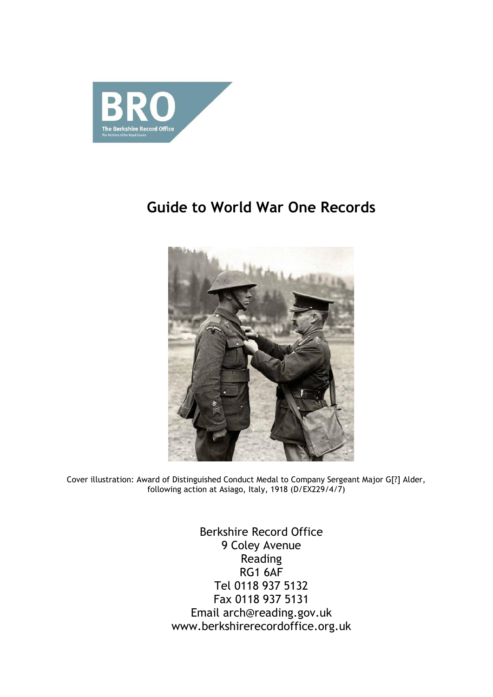

# **Guide to World War One Records**



Cover illustration: Award of Distinguished Conduct Medal to Company Sergeant Major G[?] Alder, following action at Asiago, Italy, 1918 (D/EX229/4/7)

> Berkshire Record Office 9 Coley Avenue Reading RG1 6AF Tel 0118 937 5132 Fax 0118 937 5131 Email arch@reading.gov.uk www.berkshirerecordoffice.org.uk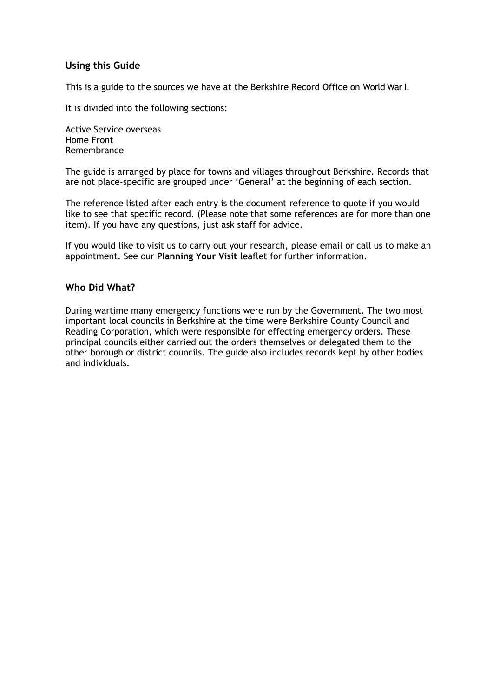#### **Using this Guide**

This is a guide to the sources we have at the Berkshire Record Office on World War I.

It is divided into the following sections:

Active Service overseas Home Front Remembrance

The guide is arranged by place for towns and villages throughout Berkshire. Records that are not place-specific are grouped under 'General' at the beginning of each section.

The reference listed after each entry is the document reference to quote if you would like to see that specific record. (Please note that some references are for more than one item). If you have any questions, just ask staff for advice.

If you would like to visit us to carry out your research, please email or call us to make an appointment. See our **Planning Your Visit** leaflet for further information.

#### **Who Did What?**

During wartime many emergency functions were run by the Government. The two most important local councils in Berkshire at the time were Berkshire County Council and Reading Corporation, which were responsible for effecting emergency orders. These principal councils either carried out the orders themselves or delegated them to the other borough or district councils. The guide also includes records kept by other bodies and individuals.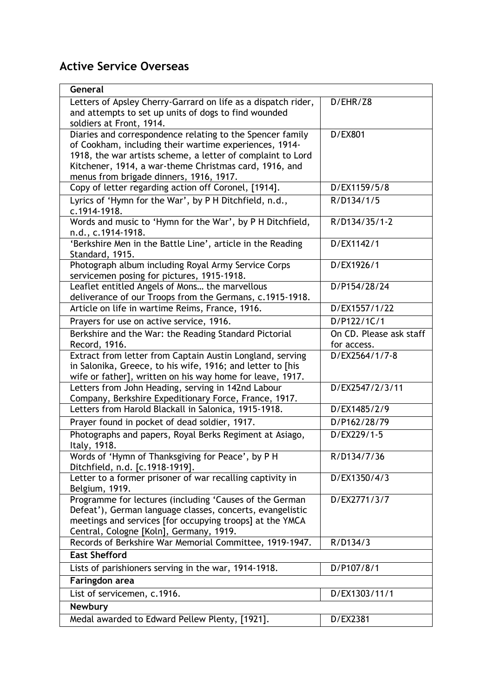### **Active Service Overseas**

| General                                                                                                             |                         |
|---------------------------------------------------------------------------------------------------------------------|-------------------------|
| Letters of Apsley Cherry-Garrard on life as a dispatch rider,                                                       | D/EHR/Z8                |
| and attempts to set up units of dogs to find wounded                                                                |                         |
| soldiers at Front, 1914.                                                                                            |                         |
| Diaries and correspondence relating to the Spencer family<br>of Cookham, including their wartime experiences, 1914- | D/EX801                 |
| 1918, the war artists scheme, a letter of complaint to Lord                                                         |                         |
| Kitchener, 1914, a war-theme Christmas card, 1916, and                                                              |                         |
| menus from brigade dinners, 1916, 1917.                                                                             |                         |
| Copy of letter regarding action off Coronel, [1914].                                                                | D/EX1159/5/8            |
| Lyrics of 'Hymn for the War', by P H Ditchfield, n.d.,<br>c.1914-1918.                                              | R/D134/1/5              |
| Words and music to 'Hymn for the War', by P H Ditchfield,<br>n.d., c.1914-1918.                                     | R/D134/35/1-2           |
| 'Berkshire Men in the Battle Line', article in the Reading                                                          | D/EX1142/1              |
| Standard, 1915.                                                                                                     |                         |
| Photograph album including Royal Army Service Corps<br>servicemen posing for pictures, 1915-1918.                   | D/EX1926/1              |
| Leaflet entitled Angels of Mons the marvellous                                                                      | D/P154/28/24            |
| deliverance of our Troops from the Germans, c.1915-1918.                                                            |                         |
| Article on life in wartime Reims, France, 1916.                                                                     | D/EX1557/1/22           |
| Prayers for use on active service, 1916.                                                                            | D/P122/1C/1             |
| Berkshire and the War: the Reading Standard Pictorial                                                               | On CD. Please ask staff |
| Record, 1916.                                                                                                       | for access.             |
| Extract from letter from Captain Austin Longland, serving                                                           | D/EX2564/1/7-8          |
| in Salonika, Greece, to his wife, 1916; and letter to [his                                                          |                         |
| wife or father], written on his way home for leave, 1917.                                                           |                         |
| Letters from John Heading, serving in 142nd Labour<br>Company, Berkshire Expeditionary Force, France, 1917.         | D/EX2547/2/3/11         |
| Letters from Harold Blackall in Salonica, 1915-1918.                                                                | D/EX1485/2/9            |
| Prayer found in pocket of dead soldier, 1917.                                                                       | D/P162/28/79            |
| Photographs and papers, Royal Berks Regiment at Asiago,                                                             | D/EX229/1-5             |
| Italy, 1918.                                                                                                        |                         |
| Words of 'Hymn of Thanksgiving for Peace', by P H<br>Ditchfield, n.d. [c.1918-1919].                                | R/D134/7/36             |
| Letter to a former prisoner of war recalling captivity in                                                           | D/EX1350/4/3            |
| Belgium, 1919.                                                                                                      |                         |
| Programme for lectures (including 'Causes of the German                                                             | D/EX2771/3/7            |
| Defeat'), German language classes, concerts, evangelistic                                                           |                         |
| meetings and services [for occupying troops] at the YMCA                                                            |                         |
| Central, Cologne [Koln], Germany, 1919.<br>Records of Berkshire War Memorial Committee, 1919-1947.                  | R/D134/3                |
| <b>East Shefford</b>                                                                                                |                         |
|                                                                                                                     | D/P107/8/1              |
| Lists of parishioners serving in the war, 1914-1918.                                                                |                         |
| Faringdon area                                                                                                      |                         |
| List of servicemen, c.1916.                                                                                         | D/EX1303/11/1           |
| <b>Newbury</b>                                                                                                      |                         |
| Medal awarded to Edward Pellew Plenty, [1921].                                                                      | D/EX2381                |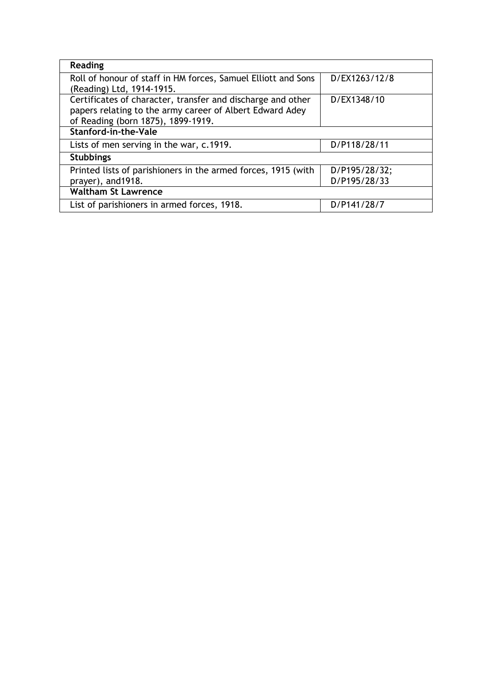| <b>Reading</b>                                                |               |
|---------------------------------------------------------------|---------------|
| Roll of honour of staff in HM forces, Samuel Elliott and Sons | D/EX1263/12/8 |
| (Reading) Ltd, 1914-1915.                                     |               |
| Certificates of character, transfer and discharge and other   | D/EX1348/10   |
| papers relating to the army career of Albert Edward Adey      |               |
| of Reading (born 1875), 1899-1919.                            |               |
| Stanford-in-the-Vale                                          |               |
| Lists of men serving in the war, c.1919.                      | D/P118/28/11  |
| <b>Stubbings</b>                                              |               |
| Printed lists of parishioners in the armed forces, 1915 (with | D/P195/28/32; |
| prayer), and 1918.                                            | D/P195/28/33  |
| <b>Waltham St Lawrence</b>                                    |               |
| List of parishioners in armed forces, 1918.                   | D/P141/28/7   |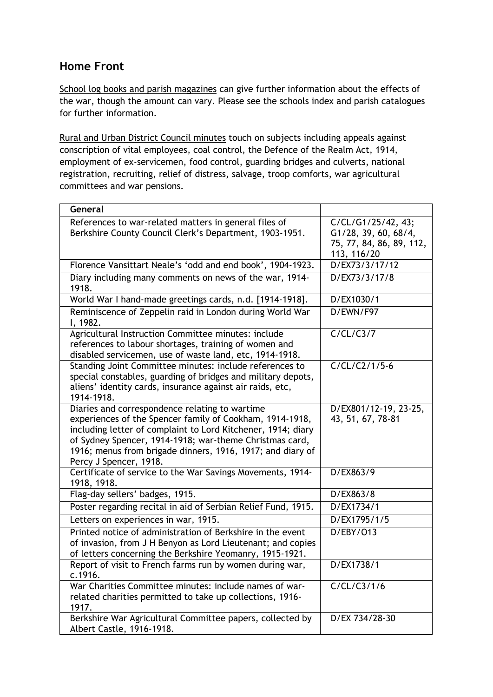### **Home Front**

School log books and parish magazines can give further information about the effects of the war, though the amount can vary. Please see the schools index and parish catalogues for further information.

Rural and Urban District Council minutes touch on subjects including appeals against conscription of vital employees, coal control, the Defence of the Realm Act, 1914, employment of ex-servicemen, food control, guarding bridges and culverts, national registration, recruiting, relief of distress, salvage, troop comforts, war agricultural committees and war pensions.

| General                                                                                                                                                                                                                                                                                                                       |                                                                                       |
|-------------------------------------------------------------------------------------------------------------------------------------------------------------------------------------------------------------------------------------------------------------------------------------------------------------------------------|---------------------------------------------------------------------------------------|
| References to war-related matters in general files of<br>Berkshire County Council Clerk's Department, 1903-1951.                                                                                                                                                                                                              | C/CL/G1/25/42, 43;<br>G1/28, 39, 60, 68/4,<br>75, 77, 84, 86, 89, 112,<br>113, 116/20 |
| Florence Vansittart Neale's 'odd and end book', 1904-1923.                                                                                                                                                                                                                                                                    | D/EX73/3/17/12                                                                        |
| Diary including many comments on news of the war, 1914-<br>1918.                                                                                                                                                                                                                                                              | D/EX73/3/17/8                                                                         |
| World War I hand-made greetings cards, n.d. [1914-1918].                                                                                                                                                                                                                                                                      | D/EX1030/1                                                                            |
| Reminiscence of Zeppelin raid in London during World War<br>I, 1982.                                                                                                                                                                                                                                                          | D/EWN/F97                                                                             |
| Agricultural Instruction Committee minutes: include<br>references to labour shortages, training of women and<br>disabled servicemen, use of waste land, etc, 1914-1918.                                                                                                                                                       | C/CL/C3/7                                                                             |
| Standing Joint Committee minutes: include references to<br>special constables, guarding of bridges and military depots,<br>aliens' identity cards, insurance against air raids, etc,<br>1914-1918.                                                                                                                            | $C/CL/C2/1/5-6$                                                                       |
| Diaries and correspondence relating to wartime<br>experiences of the Spencer family of Cookham, 1914-1918,<br>including letter of complaint to Lord Kitchener, 1914; diary<br>of Sydney Spencer, 1914-1918; war-theme Christmas card,<br>1916; menus from brigade dinners, 1916, 1917; and diary of<br>Percy J Spencer, 1918. | D/EX801/12-19, 23-25,<br>43, 51, 67, 78-81                                            |
| Certificate of service to the War Savings Movements, 1914-<br>1918, 1918.                                                                                                                                                                                                                                                     | D/EX863/9                                                                             |
| Flag-day sellers' badges, 1915.                                                                                                                                                                                                                                                                                               | D/EX863/8                                                                             |
| Poster regarding recital in aid of Serbian Relief Fund, 1915.                                                                                                                                                                                                                                                                 | D/EX1734/1                                                                            |
| Letters on experiences in war, 1915.                                                                                                                                                                                                                                                                                          | D/EX1795/1/5                                                                          |
| Printed notice of administration of Berkshire in the event<br>of invasion, from J H Benyon as Lord Lieutenant; and copies<br>of letters concerning the Berkshire Yeomanry, 1915-1921.                                                                                                                                         | D/EBY/013                                                                             |
| Report of visit to French farms run by women during war,<br>c.1916.                                                                                                                                                                                                                                                           | D/EX1738/1                                                                            |
| War Charities Committee minutes: include names of war-<br>related charities permitted to take up collections, 1916-<br>1917.                                                                                                                                                                                                  | C/CL/C3/1/6                                                                           |
| Berkshire War Agricultural Committee papers, collected by<br>Albert Castle, 1916-1918.                                                                                                                                                                                                                                        | D/EX 734/28-30                                                                        |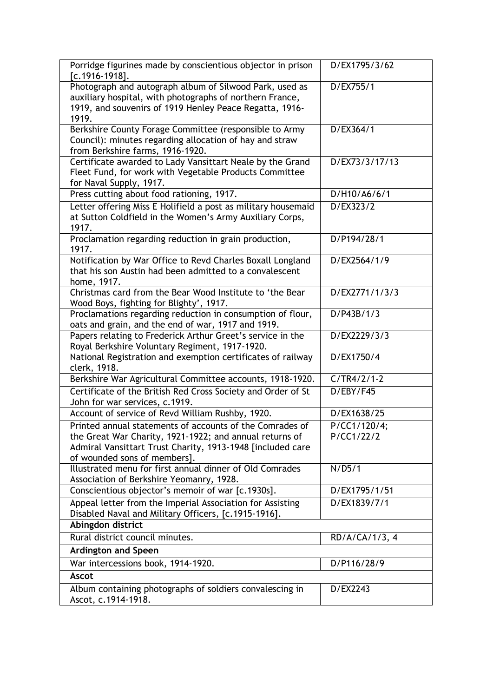| Porridge figurines made by conscientious objector in prison<br>$[c.1916-1918]$ .                                                                                                                                  | D/EX1795/3/62              |
|-------------------------------------------------------------------------------------------------------------------------------------------------------------------------------------------------------------------|----------------------------|
| Photograph and autograph album of Silwood Park, used as<br>auxiliary hospital, with photographs of northern France,<br>1919, and souvenirs of 1919 Henley Peace Regatta, 1916-<br>1919.                           | D/EX755/1                  |
| Berkshire County Forage Committee (responsible to Army<br>Council): minutes regarding allocation of hay and straw<br>from Berkshire farms, 1916-1920.                                                             | D/EX364/1                  |
| Certificate awarded to Lady Vansittart Neale by the Grand<br>Fleet Fund, for work with Vegetable Products Committee<br>for Naval Supply, 1917.                                                                    | D/EX73/3/17/13             |
| Press cutting about food rationing, 1917.                                                                                                                                                                         | D/H10/A6/6/1               |
| Letter offering Miss E Holifield a post as military housemaid<br>at Sutton Coldfield in the Women's Army Auxiliary Corps,<br>1917.                                                                                | D/EX323/2                  |
| Proclamation regarding reduction in grain production,<br>1917.                                                                                                                                                    | D/P194/28/1                |
| Notification by War Office to Revd Charles Boxall Longland<br>that his son Austin had been admitted to a convalescent<br>home, 1917.                                                                              | D/EX2564/1/9               |
| Christmas card from the Bear Wood Institute to 'the Bear<br>Wood Boys, fighting for Blighty', 1917.                                                                                                               | D/EX2771/1/3/3             |
| Proclamations regarding reduction in consumption of flour,<br>oats and grain, and the end of war, 1917 and 1919.                                                                                                  | D/P43B/1/3                 |
| Papers relating to Frederick Arthur Greet's service in the<br>Royal Berkshire Voluntary Regiment, 1917-1920.                                                                                                      | D/EX2229/3/3               |
| National Registration and exemption certificates of railway<br>clerk, 1918.                                                                                                                                       | D/EX1750/4                 |
| Berkshire War Agricultural Committee accounts, 1918-1920.                                                                                                                                                         | $C/TR4/2/1-2$              |
| Certificate of the British Red Cross Society and Order of St<br>John for war services, c.1919.                                                                                                                    | D/EBY/F45                  |
| Account of service of Revd William Rushby, 1920.                                                                                                                                                                  | D/EX1638/25                |
| Printed annual statements of accounts of the Comrades of<br>the Great War Charity, 1921-1922; and annual returns of<br>Admiral Vansittart Trust Charity, 1913-1948 [included care<br>of wounded sons of members]. | P/CC1/120/4;<br>P/CC1/22/2 |
| Illustrated menu for first annual dinner of Old Comrades<br>Association of Berkshire Yeomanry, 1928.                                                                                                              | N/D5/1                     |
| Conscientious objector's memoir of war [c.1930s].                                                                                                                                                                 | D/EX1795/1/51              |
| Appeal letter from the Imperial Association for Assisting<br>Disabled Naval and Military Officers, [c.1915-1916].                                                                                                 | D/EX1839/7/1               |
| Abingdon district                                                                                                                                                                                                 |                            |
| Rural district council minutes.                                                                                                                                                                                   | RD/A/CA/1/3, 4             |
| <b>Ardington and Speen</b>                                                                                                                                                                                        |                            |
| War intercessions book, 1914-1920.                                                                                                                                                                                | D/P116/28/9                |
| <b>Ascot</b>                                                                                                                                                                                                      |                            |
| Album containing photographs of soldiers convalescing in<br>Ascot, c.1914-1918.                                                                                                                                   | D/EX2243                   |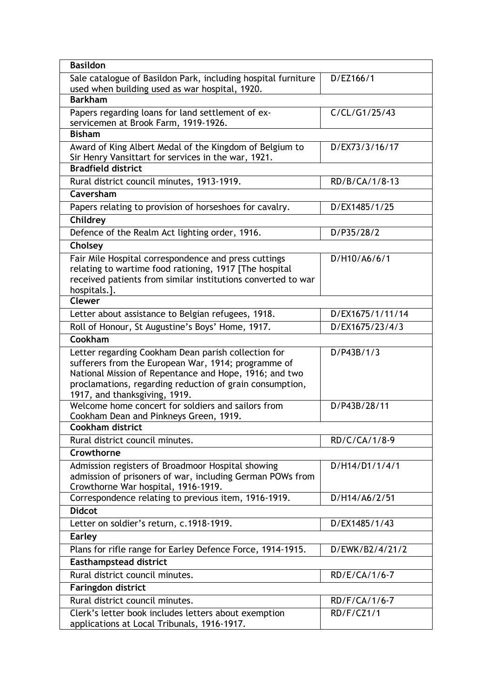| <b>Basildon</b>                                                                                                                                                                                                                                                   |                  |
|-------------------------------------------------------------------------------------------------------------------------------------------------------------------------------------------------------------------------------------------------------------------|------------------|
| Sale catalogue of Basildon Park, including hospital furniture<br>used when building used as war hospital, 1920.                                                                                                                                                   | D/EZ166/1        |
| <b>Barkham</b>                                                                                                                                                                                                                                                    |                  |
| Papers regarding loans for land settlement of ex-<br>servicemen at Brook Farm, 1919-1926.                                                                                                                                                                         | C/CL/G1/25/43    |
| <b>Bisham</b>                                                                                                                                                                                                                                                     |                  |
| Award of King Albert Medal of the Kingdom of Belgium to<br>Sir Henry Vansittart for services in the war, 1921.                                                                                                                                                    | D/EX73/3/16/17   |
| <b>Bradfield district</b>                                                                                                                                                                                                                                         |                  |
| Rural district council minutes, 1913-1919.                                                                                                                                                                                                                        | RD/B/CA/1/8-13   |
| Caversham                                                                                                                                                                                                                                                         |                  |
| Papers relating to provision of horseshoes for cavalry.                                                                                                                                                                                                           | D/EX1485/1/25    |
| Childrey                                                                                                                                                                                                                                                          |                  |
| Defence of the Realm Act lighting order, 1916.                                                                                                                                                                                                                    | D/P35/28/2       |
| Cholsey                                                                                                                                                                                                                                                           |                  |
| Fair Mile Hospital correspondence and press cuttings<br>relating to wartime food rationing, 1917 [The hospital<br>received patients from similar institutions converted to war<br>hospitals.].                                                                    | D/H10/A6/6/1     |
| <b>Clewer</b>                                                                                                                                                                                                                                                     |                  |
| Letter about assistance to Belgian refugees, 1918.                                                                                                                                                                                                                | D/EX1675/1/11/14 |
| Roll of Honour, St Augustine's Boys' Home, 1917.                                                                                                                                                                                                                  | D/EX1675/23/4/3  |
| Cookham                                                                                                                                                                                                                                                           |                  |
| Letter regarding Cookham Dean parish collection for<br>sufferers from the European War, 1914; programme of<br>National Mission of Repentance and Hope, 1916; and two<br>proclamations, regarding reduction of grain consumption,<br>1917, and thanksgiving, 1919. | D/P43B/1/3       |
| Welcome home concert for soldiers and sailors from<br>Cookham Dean and Pinkneys Green, 1919.                                                                                                                                                                      | D/P43B/28/11     |
| Cookham district                                                                                                                                                                                                                                                  |                  |
| Rural district council minutes.                                                                                                                                                                                                                                   | RD/C/CA/1/8-9    |
| Crowthorne                                                                                                                                                                                                                                                        |                  |
| Admission registers of Broadmoor Hospital showing<br>admission of prisoners of war, including German POWs from<br>Crowthorne War hospital, 1916-1919.                                                                                                             | D/H14/D1/1/4/1   |
| Correspondence relating to previous item, 1916-1919.                                                                                                                                                                                                              | D/H14/A6/2/51    |
| <b>Didcot</b>                                                                                                                                                                                                                                                     |                  |
| Letter on soldier's return, c.1918-1919.                                                                                                                                                                                                                          | D/EX1485/1/43    |
| <b>Earley</b>                                                                                                                                                                                                                                                     |                  |
| Plans for rifle range for Earley Defence Force, 1914-1915.                                                                                                                                                                                                        | D/EWK/B2/4/21/2  |
| <b>Easthampstead district</b>                                                                                                                                                                                                                                     |                  |
| Rural district council minutes.                                                                                                                                                                                                                                   | RD/E/CA/1/6-7    |
| <b>Faringdon district</b>                                                                                                                                                                                                                                         |                  |
| Rural district council minutes.                                                                                                                                                                                                                                   | RD/F/CA/1/6-7    |
| Clerk's letter book includes letters about exemption<br>applications at Local Tribunals, 1916-1917.                                                                                                                                                               | RD/F/CZ1/1       |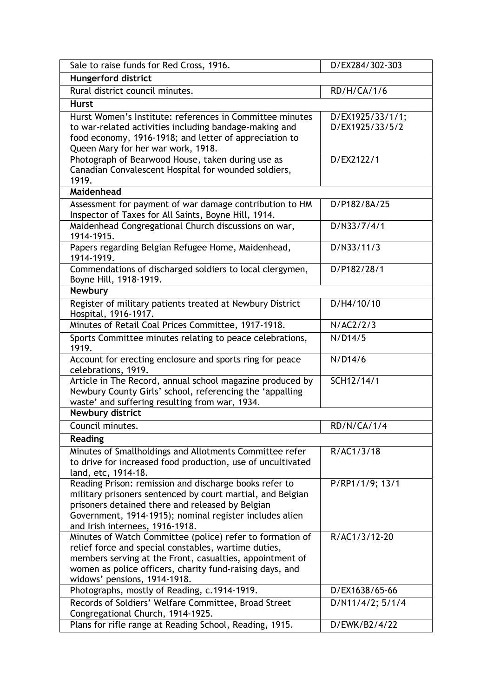|                                                                                                                                      | Sale to raise funds for Red Cross, 1916. | D/EX284/302-303 |
|--------------------------------------------------------------------------------------------------------------------------------------|------------------------------------------|-----------------|
|                                                                                                                                      | Hungerford district                      |                 |
| Rural district council minutes.<br>RD/H/CA/1/6                                                                                       |                                          |                 |
| <b>Hurst</b>                                                                                                                         |                                          |                 |
| Hurst Women's Institute: references in Committee minutes<br>D/EX1925/33/1/1;                                                         |                                          |                 |
| to war-related activities including bandage-making and<br>D/EX1925/33/5/2                                                            |                                          |                 |
| food economy, 1916-1918; and letter of appreciation to                                                                               |                                          |                 |
| Queen Mary for her war work, 1918.                                                                                                   |                                          |                 |
| Photograph of Bearwood House, taken during use as<br>D/EX2122/1                                                                      |                                          |                 |
| Canadian Convalescent Hospital for wounded soldiers,                                                                                 |                                          |                 |
| 1919.                                                                                                                                |                                          |                 |
| Maidenhead                                                                                                                           |                                          |                 |
| Assessment for payment of war damage contribution to HM<br>D/P182/8A/25                                                              |                                          |                 |
| Inspector of Taxes for All Saints, Boyne Hill, 1914.                                                                                 |                                          |                 |
| Maidenhead Congregational Church discussions on war,<br>D/N33/7/4/1<br>1914-1915.                                                    |                                          |                 |
| Papers regarding Belgian Refugee Home, Maidenhead,<br>D/N33/11/3                                                                     |                                          |                 |
| 1914-1919.                                                                                                                           |                                          |                 |
| Commendations of discharged soldiers to local clergymen,<br>D/P182/28/1                                                              |                                          |                 |
| Boyne Hill, 1918-1919.                                                                                                               |                                          |                 |
| Newbury                                                                                                                              |                                          |                 |
| D/H4/10/10<br>Register of military patients treated at Newbury District                                                              |                                          |                 |
| Hospital, 1916-1917.                                                                                                                 |                                          |                 |
| Minutes of Retail Coal Prices Committee, 1917-1918.<br>N/AC2/2/3                                                                     |                                          |                 |
| Sports Committee minutes relating to peace celebrations,<br>N/D14/5                                                                  |                                          |                 |
| 1919.                                                                                                                                |                                          |                 |
| N/D14/6<br>Account for erecting enclosure and sports ring for peace                                                                  |                                          |                 |
| celebrations, 1919.                                                                                                                  |                                          |                 |
| Article in The Record, annual school magazine produced by<br>SCH12/14/1                                                              |                                          |                 |
| Newbury County Girls' school, referencing the 'appalling<br>waste' and suffering resulting from war, 1934.                           |                                          |                 |
| Newbury district                                                                                                                     |                                          |                 |
| Council minutes.<br><b>RD/N/CA/1/4</b>                                                                                               |                                          |                 |
| Reading                                                                                                                              |                                          |                 |
|                                                                                                                                      |                                          |                 |
| Minutes of Smallholdings and Allotments Committee refer<br>R/AC1/3/18<br>to drive for increased food production, use of uncultivated |                                          |                 |
| land, etc, 1914-18.                                                                                                                  |                                          |                 |
| Reading Prison: remission and discharge books refer to<br>P/RP1/1/9; 13/1                                                            |                                          |                 |
| military prisoners sentenced by court martial, and Belgian                                                                           |                                          |                 |
| prisoners detained there and released by Belgian                                                                                     |                                          |                 |
| Government, 1914-1915); nominal register includes alien                                                                              |                                          |                 |
| and Irish internees, 1916-1918.                                                                                                      |                                          |                 |
| Minutes of Watch Committee (police) refer to formation of<br>R/AC1/3/12-20                                                           |                                          |                 |
| relief force and special constables, wartime duties,                                                                                 |                                          |                 |
| members serving at the Front, casualties, appointment of                                                                             |                                          |                 |
| women as police officers, charity fund-raising days, and                                                                             |                                          |                 |
| widows' pensions, 1914-1918.                                                                                                         |                                          |                 |
| Photographs, mostly of Reading, c.1914-1919.<br>D/EX1638/65-66                                                                       |                                          |                 |
| Records of Soldiers' Welfare Committee, Broad Street<br>D/N11/4/2; 5/1/4<br>Congregational Church, 1914-1925.                        |                                          |                 |
| Plans for rifle range at Reading School, Reading, 1915.<br>D/EWK/B2/4/22                                                             |                                          |                 |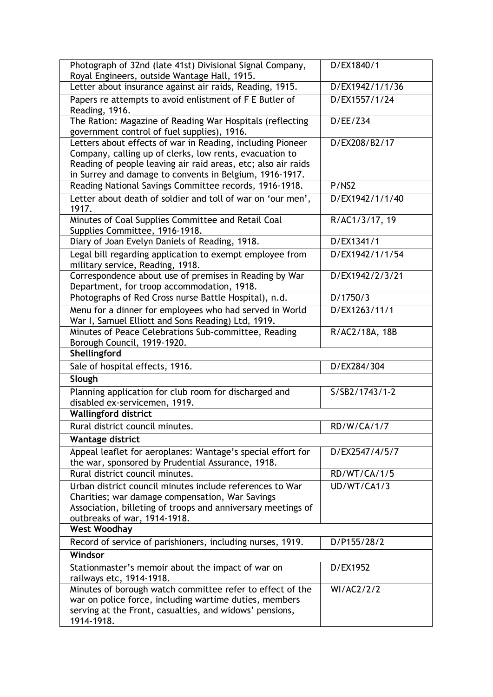| Photograph of 32nd (late 41st) Divisional Signal Company,                                                         | D/EX1840/1      |
|-------------------------------------------------------------------------------------------------------------------|-----------------|
| Royal Engineers, outside Wantage Hall, 1915.<br>Letter about insurance against air raids, Reading, 1915.          | D/EX1942/1/1/36 |
|                                                                                                                   | D/EX1557/1/24   |
| Papers re attempts to avoid enlistment of F E Butler of<br>Reading, 1916.                                         |                 |
| The Ration: Magazine of Reading War Hospitals (reflecting                                                         | D/EE/Z34        |
| government control of fuel supplies), 1916.                                                                       |                 |
| Letters about effects of war in Reading, including Pioneer                                                        | D/EX208/B2/17   |
| Company, calling up of clerks, low rents, evacuation to                                                           |                 |
| Reading of people leaving air raid areas, etc; also air raids                                                     |                 |
| in Surrey and damage to convents in Belgium, 1916-1917.<br>Reading National Savings Committee records, 1916-1918. | P/NS2           |
| Letter about death of soldier and toll of war on 'our men',                                                       | D/EX1942/1/1/40 |
| 1917.                                                                                                             |                 |
| Minutes of Coal Supplies Committee and Retail Coal                                                                | R/AC1/3/17, 19  |
| Supplies Committee, 1916-1918.                                                                                    |                 |
| Diary of Joan Evelyn Daniels of Reading, 1918.                                                                    | D/EX1341/1      |
| Legal bill regarding application to exempt employee from                                                          | D/EX1942/1/1/54 |
| military service, Reading, 1918.                                                                                  |                 |
| Correspondence about use of premises in Reading by War                                                            | D/EX1942/2/3/21 |
| Department, for troop accommodation, 1918.                                                                        |                 |
| Photographs of Red Cross nurse Battle Hospital), n.d.                                                             | D/1750/3        |
| Menu for a dinner for employees who had served in World<br>War I, Samuel Elliott and Sons Reading) Ltd, 1919.     | D/EX1263/11/1   |
| Minutes of Peace Celebrations Sub-committee, Reading                                                              | R/AC2/18A, 18B  |
| Borough Council, 1919-1920.                                                                                       |                 |
| Shellingford                                                                                                      |                 |
| Sale of hospital effects, 1916.                                                                                   | D/EX284/304     |
| Slough                                                                                                            |                 |
| Planning application for club room for discharged and                                                             | S/SB2/1743/1-2  |
| disabled ex-servicemen, 1919.                                                                                     |                 |
| <b>Wallingford district</b>                                                                                       |                 |
| Rural district council minutes.                                                                                   | RD/W/CA/1/7     |
| Wantage district                                                                                                  |                 |
| Appeal leaflet for aeroplanes: Wantage's special effort for<br>the war, sponsored by Prudential Assurance, 1918.  | D/EX2547/4/5/7  |
| Rural district council minutes.                                                                                   | RD/WT/CA/1/5    |
| Urban district council minutes include references to War                                                          | UD/WT/CA1/3     |
| Charities; war damage compensation, War Savings                                                                   |                 |
| Association, billeting of troops and anniversary meetings of                                                      |                 |
| outbreaks of war, 1914-1918.<br>West Woodhay                                                                      |                 |
|                                                                                                                   |                 |
| Record of service of parishioners, including nurses, 1919.                                                        | D/P155/28/2     |
| Windsor                                                                                                           |                 |
| Stationmaster's memoir about the impact of war on<br>railways etc, 1914-1918.                                     | D/EX1952        |
| Minutes of borough watch committee refer to effect of the                                                         | WI/AC2/2/2      |
| war on police force, including wartime duties, members                                                            |                 |
|                                                                                                                   |                 |
| serving at the Front, casualties, and widows' pensions,<br>1914-1918.                                             |                 |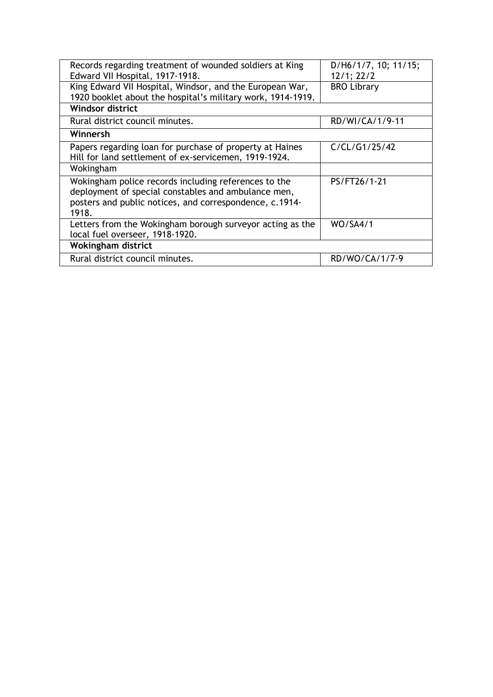| Records regarding treatment of wounded soldiers at King     | D/H6/1/7, 10; 11/15; |
|-------------------------------------------------------------|----------------------|
| Edward VII Hospital, 1917-1918.                             | $12/1$ ; $22/2$      |
| King Edward VII Hospital, Windsor, and the European War,    | <b>BRO Library</b>   |
| 1920 booklet about the hospital's military work, 1914-1919. |                      |
| <b>Windsor district</b>                                     |                      |
| Rural district council minutes.                             | RD/WI/CA/1/9-11      |
| Winnersh                                                    |                      |
| Papers regarding loan for purchase of property at Haines    | C/CL/G1/25/42        |
| Hill for land settlement of ex-servicemen, 1919-1924.       |                      |
| Wokingham                                                   |                      |
| Wokingham police records including references to the        | PS/FT26/1-21         |
| deployment of special constables and ambulance men,         |                      |
| posters and public notices, and correspondence, c.1914-     |                      |
| 1918.                                                       |                      |
| Letters from the Wokingham borough surveyor acting as the   | <b>WO/SA4/1</b>      |
| local fuel overseer, 1918-1920.                             |                      |
| <b>Wokingham district</b>                                   |                      |
| Rural district council minutes.                             | RD/WO/CA/1/7-9       |
|                                                             |                      |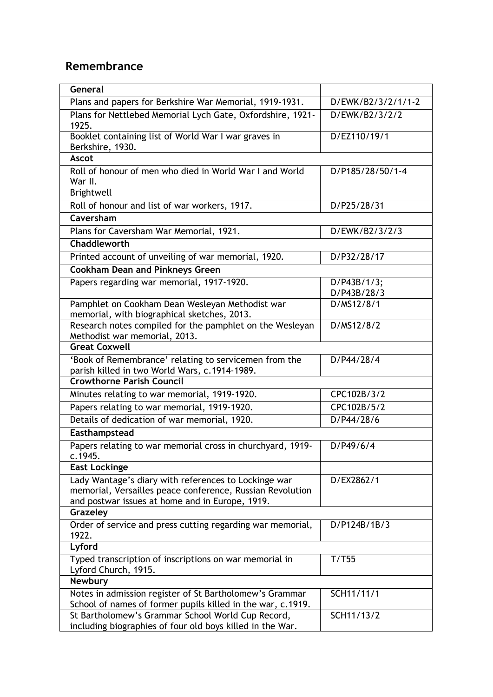## **Remembrance**

| General                                                                                                                                                              |                            |
|----------------------------------------------------------------------------------------------------------------------------------------------------------------------|----------------------------|
| Plans and papers for Berkshire War Memorial, 1919-1931.                                                                                                              | D/EWK/B2/3/2/1/1-2         |
| Plans for Nettlebed Memorial Lych Gate, Oxfordshire, 1921-<br>1925.                                                                                                  | D/EWK/B2/3/2/2             |
| Booklet containing list of World War I war graves in<br>Berkshire, 1930.                                                                                             | D/EZ110/19/1               |
| <b>Ascot</b>                                                                                                                                                         |                            |
| Roll of honour of men who died in World War I and World<br>War II.                                                                                                   | D/P185/28/50/1-4           |
| Brightwell                                                                                                                                                           |                            |
| Roll of honour and list of war workers, 1917.                                                                                                                        | D/P25/28/31                |
| Caversham                                                                                                                                                            |                            |
| Plans for Caversham War Memorial, 1921.                                                                                                                              | D/EWK/B2/3/2/3             |
| Chaddleworth                                                                                                                                                         |                            |
| Printed account of unveiling of war memorial, 1920.                                                                                                                  | D/P32/28/17                |
| <b>Cookham Dean and Pinkneys Green</b>                                                                                                                               |                            |
| Papers regarding war memorial, 1917-1920.                                                                                                                            | D/P43B/1/3;<br>D/P43B/28/3 |
| Pamphlet on Cookham Dean Wesleyan Methodist war<br>memorial, with biographical sketches, 2013.                                                                       | D/MS12/8/1                 |
| Research notes compiled for the pamphlet on the Wesleyan<br>Methodist war memorial, 2013.                                                                            | D/MS12/8/2                 |
| <b>Great Coxwell</b>                                                                                                                                                 |                            |
| 'Book of Remembrance' relating to servicemen from the<br>parish killed in two World Wars, c.1914-1989.                                                               | D/P44/28/4                 |
| <b>Crowthorne Parish Council</b>                                                                                                                                     |                            |
| Minutes relating to war memorial, 1919-1920.                                                                                                                         | CPC102B/3/2                |
| Papers relating to war memorial, 1919-1920.                                                                                                                          | CPC102B/5/2                |
| Details of dedication of war memorial, 1920.                                                                                                                         | D/P44/28/6                 |
| Easthampstead                                                                                                                                                        |                            |
| Papers relating to war memorial cross in churchyard, 1919-<br>c.1945.                                                                                                | D/P49/6/4                  |
| <b>East Lockinge</b>                                                                                                                                                 |                            |
| Lady Wantage's diary with references to Lockinge war<br>memorial, Versailles peace conference, Russian Revolution<br>and postwar issues at home and in Europe, 1919. | D/EX2862/1                 |
| Grazeley                                                                                                                                                             |                            |
| Order of service and press cutting regarding war memorial,<br>1922.                                                                                                  | D/P124B/1B/3               |
| Lyford                                                                                                                                                               |                            |
| Typed transcription of inscriptions on war memorial in<br>Lyford Church, 1915.                                                                                       | T/T55                      |
| Newbury                                                                                                                                                              |                            |
| Notes in admission register of St Bartholomew's Grammar<br>School of names of former pupils killed in the war, c.1919.                                               | SCH11/11/1                 |
| St Bartholomew's Grammar School World Cup Record,<br>including biographies of four old boys killed in the War.                                                       | SCH11/13/2                 |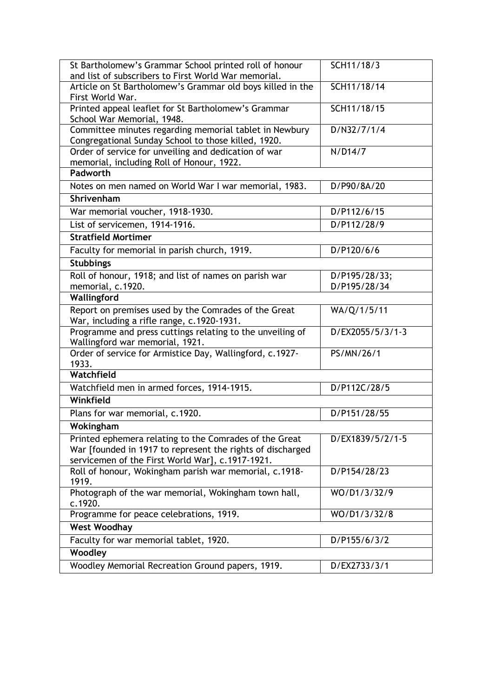| St Bartholomew's Grammar School printed roll of honour<br>and list of subscribers to First World War memorial. | SCH11/18/3       |
|----------------------------------------------------------------------------------------------------------------|------------------|
| Article on St Bartholomew's Grammar old boys killed in the<br>First World War.                                 | SCH11/18/14      |
| Printed appeal leaflet for St Bartholomew's Grammar<br>School War Memorial, 1948.                              | SCH11/18/15      |
| Committee minutes regarding memorial tablet in Newbury<br>Congregational Sunday School to those killed, 1920.  | D/N32/7/1/4      |
| Order of service for unveiling and dedication of war<br>memorial, including Roll of Honour, 1922.              | N/D14/7          |
| Padworth                                                                                                       |                  |
| Notes on men named on World War I war memorial, 1983.                                                          | D/P90/8A/20      |
| Shrivenham                                                                                                     |                  |
| War memorial voucher, 1918-1930.                                                                               | D/P112/6/15      |
| List of servicemen, 1914-1916.                                                                                 | D/P112/28/9      |
| <b>Stratfield Mortimer</b>                                                                                     |                  |
| Faculty for memorial in parish church, 1919.                                                                   | D/P120/6/6       |
| <b>Stubbings</b>                                                                                               |                  |
| Roll of honour, 1918; and list of names on parish war                                                          | D/P195/28/33;    |
| memorial, c.1920.                                                                                              | D/P195/28/34     |
| Wallingford                                                                                                    |                  |
| Report on premises used by the Comrades of the Great<br>War, including a rifle range, c.1920-1931.             | WA/Q/1/5/11      |
| Programme and press cuttings relating to the unveiling of<br>Wallingford war memorial, 1921.                   | D/EX2055/5/3/1-3 |
| Order of service for Armistice Day, Wallingford, c.1927-<br>1933.                                              | PS/MN/26/1       |
| Watchfield                                                                                                     |                  |
| Watchfield men in armed forces, 1914-1915.                                                                     | D/P112C/28/5     |
| Winkfield                                                                                                      |                  |
| Plans for war memorial, c.1920.                                                                                | D/P151/28/55     |
| Wokingham                                                                                                      |                  |
| Printed ephemera relating to the Comrades of the Great                                                         | D/EX1839/5/2/1-5 |
| War [founded in 1917 to represent the rights of discharged                                                     |                  |
| servicemen of the First World War], c.1917-1921.                                                               |                  |
| Roll of honour, Wokingham parish war memorial, c.1918-<br>1919.                                                | D/P154/28/23     |
| Photograph of the war memorial, Wokingham town hall,<br>c.1920.                                                | WO/D1/3/32/9     |
| Programme for peace celebrations, 1919.                                                                        | WO/D1/3/32/8     |
| <b>West Woodhay</b>                                                                                            |                  |
| Faculty for war memorial tablet, 1920.                                                                         | D/P155/6/3/2     |
| Woodley                                                                                                        |                  |
| Woodley Memorial Recreation Ground papers, 1919.                                                               | D/EX2733/3/1     |